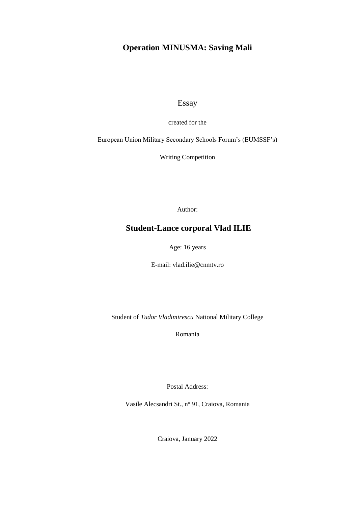# **Operation MINUSMA: Saving Mali**

Essay

created for the

European Union Military Secondary Schools Forum's (EUMSSF's)

Writing Competition

Author:

# **Student-Lance corporal Vlad ILIE**

Age: 16 years

E-mail: vlad.ilie@cnmtv.ro

Student of *Tudor Vladimirescu* National Military College

Romania

Postal Address:

Vasile Alecsandri St., nº 91, Craiova, Romania

Craiova, January 2022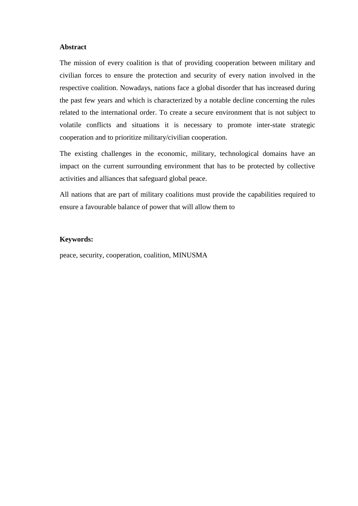#### **Abstract**

The mission of every coalition is that of providing cooperation between military and civilian forces to ensure the protection and security of every nation involved in the respective coalition. Nowadays, nations face a global disorder that has increased during the past few years and which is characterized by a notable decline concerning the rules related to the international order. To create a secure environment that is not subject to volatile conflicts and situations it is necessary to promote inter-state strategic cooperation and to prioritize military/civilian cooperation.

The existing challenges in the economic, military, technological domains have an impact on the current surrounding environment that has to be protected by collective activities and alliances that safeguard global peace.

All nations that are part of military coalitions must provide the capabilities required to ensure a favourable balance of power that will allow them to

#### **Keywords:**

peace, security, cooperation, coalition, MINUSMA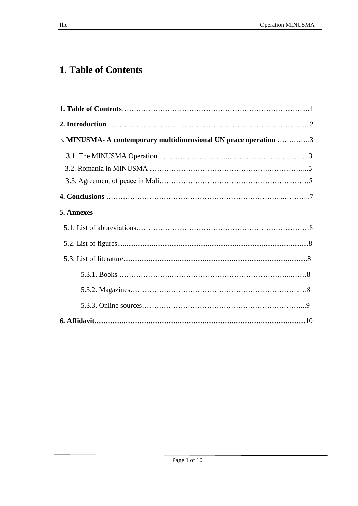# **1. Table of Contents**

| 3. MINUSMA- A contemporary multidimensional UN peace operation 3 |  |
|------------------------------------------------------------------|--|
|                                                                  |  |
|                                                                  |  |
|                                                                  |  |
|                                                                  |  |
| 5. Annexes                                                       |  |
|                                                                  |  |
|                                                                  |  |
|                                                                  |  |
|                                                                  |  |
|                                                                  |  |
|                                                                  |  |
|                                                                  |  |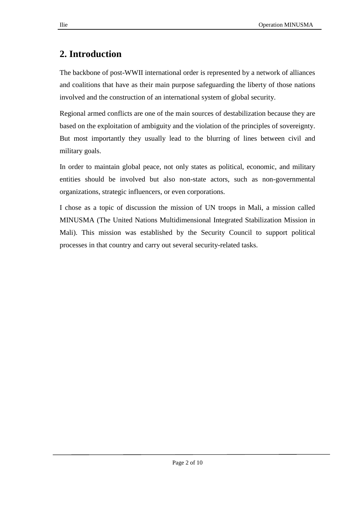# **2. Introduction**

The backbone of post-WWII international order is represented by a network of alliances and coalitions that have as their main purpose safeguarding the liberty of those nations involved and the construction of an international system of global security.

Regional armed conflicts are one of the main sources of destabilization because they are based on the exploitation of ambiguity and the violation of the principles of sovereignty. But most importantly they usually lead to the blurring of lines between civil and military goals.

In order to maintain global peace, not only states as political, economic, and military entities should be involved but also non-state actors, such as non-governmental organizations, strategic influencers, or even corporations.

I chose as a topic of discussion the mission of UN troops in Mali, a mission called MINUSMA (The United Nations Multidimensional Integrated Stabilization Mission in Mali). This mission was established by the Security Council to support political processes in that country and carry out several security-related tasks.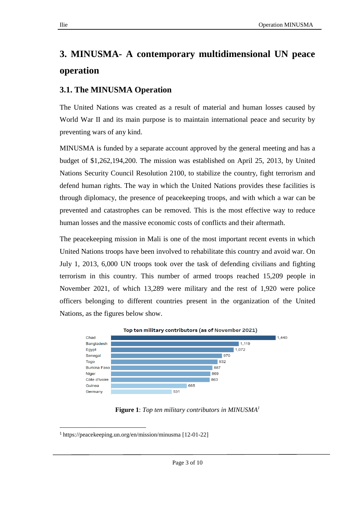# **3. MINUSMA- A contemporary multidimensional UN peace operation**

### **3.1. The MINUSMA Operation**

The United Nations was created as a result of material and human losses caused by World War II and its main purpose is to maintain international peace and security by preventing wars of any kind.

MINUSMA is funded by a separate account approved by the general meeting and has a budget of \$1,262,194,200. The mission was established on April 25, 2013, by United Nations Security Council Resolution 2100, to stabilize the country, fight terrorism and defend human rights. The way in which the United Nations provides these facilities is through diplomacy, the presence of peacekeeping troops, and with which a war can be prevented and catastrophes can be removed. This is the most effective way to reduce human losses and the massive economic costs of conflicts and their aftermath.

The peacekeeping mission in Mali is one of the most important recent events in which United Nations troops have been involved to rehabilitate this country and avoid war. On July 1, 2013, 6,000 UN troops took over the task of defending civilians and fighting terrorism in this country. This number of armed troops reached 15,209 people in November 2021, of which 13,289 were military and the rest of 1,920 were police officers belonging to different countries present in the organization of the United Nations, as the figures below show.



**Figure 1**: *Top ten military contributors in MINUSMA<sup>1</sup>*

 $\overline{a}$ <sup>1</sup> <https://peacekeeping.un.org/en/mission/minusma> [12-01-22]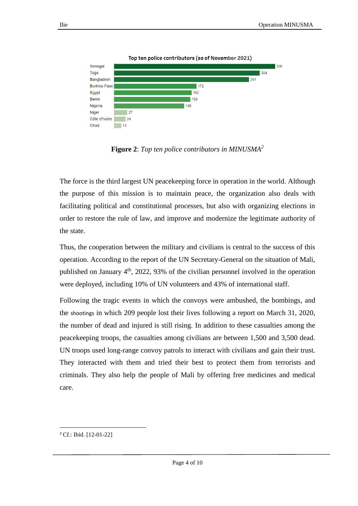

**Figure 2**: *Top ten police contributors in MINUSMA<sup>2</sup>*

The force is the third largest UN peacekeeping force in operation in the world. Although the purpose of this mission is to maintain peace, the organization also deals with facilitating political and constitutional processes, but also with organizing elections in order to restore the rule of law, and improve and modernize the legitimate authority of the state.

Thus, the cooperation between the military and civilians is central to the success of this operation. According to the report of the UN Secretary-General on the situation of Mali, published on January  $4<sup>th</sup>$ , 2022, 93% of the civilian personnel involved in the operation were deployed, including 10% of UN volunteers and 43% of international staff.

Following the tragic events in which the convoys were ambushed, the bombings, and the shootings in which 209 people lost their lives following a report on March 31, 2020, the number of dead and injured is still rising. In addition to these casualties among the peacekeeping troops, the casualties among civilians are between 1,500 and 3,500 dead. UN troops used long-range convoy patrols to interact with civilians and gain their trust. They interacted with them and tried their best to protect them from terrorists and criminals. They also help the people of Mali by offering free medicines and medical care.

 $\overline{a}$ 

<sup>2</sup> [Cf.:](https://peacekeeping.un.org/en/mission/minusma) Ibid. [12-01-22]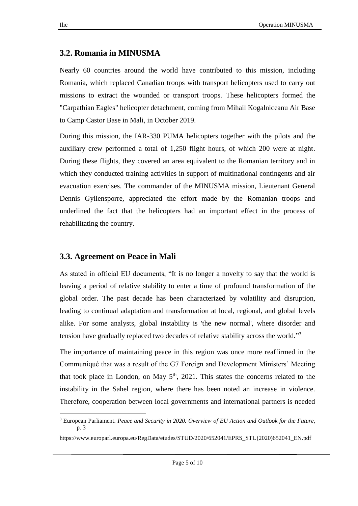### **3.2. Romania in MINUSMA**

Nearly 60 countries around the world have contributed to this mission, including Romania, which replaced Canadian troops with transport helicopters used to carry out missions to extract the wounded or transport troops. These helicopters formed the "Carpathian Eagles" helicopter detachment, coming from Mihail Kogalniceanu Air Base to Camp Castor Base in Mali, in October 2019.

During this mission, the IAR-330 PUMA helicopters together with the pilots and the auxiliary crew performed a total of 1,250 flight hours, of which 200 were at night. During these flights, they covered an area equivalent to the Romanian territory and in which they conducted training activities in support of multinational contingents and air evacuation exercises. The commander of the MINUSMA mission, Lieutenant General Dennis Gyllensporre, appreciated the effort made by the Romanian troops and underlined the fact that the helicopters had an important effect in the process of rehabilitating the country.

#### **3.3. Agreement on Peace in Mali**

As stated in official EU documents, "It is no longer a novelty to say that the world is leaving a period of relative stability to enter a time of profound transformation of the global order. The past decade has been characterized by volatility and disruption, leading to continual adaptation and transformation at local, regional, and global levels alike. For some analysts, global instability is 'the new normal', where disorder and tension have gradually replaced two decades of relative stability across the world."<sup>3</sup>

The importance of maintaining peace in this region was once more reaffirmed in the Communiqué that was a result of the G7 Foreign and Development Ministers' Meeting that took place in London, on May  $5<sup>th</sup>$ , 2021. This states the concerns related to the instability in the Sahel region, where there has been noted an increase in violence. Therefore, cooperation between local governments and international partners is needed

 $\overline{a}$ 

<sup>3</sup> European Parliament. *Peace and Security in 2020. Overview of EU Action and Outlook for the Future*, p. 3

https://www.europarl.europa.eu/RegData/etudes/STUD/2020/652041/EPRS\_STU(2020)652041\_EN.pdf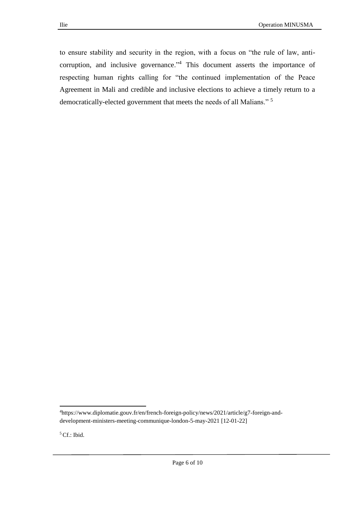to ensure stability and security in the region, with a focus on "the rule of law, anticorruption, and inclusive governance."<sup>4</sup> This document asserts the importance of respecting human rights calling for "the continued implementation of the Peace Agreement in Mali and credible and inclusive elections to achieve a timely return to a democratically-elected government that meets the needs of all Malians." <sup>5</sup>

5 Cf.: Ibid.

 $\overline{a}$ 

<sup>4</sup>[https://www.diplomatie.gouv.fr/en/french-foreign-policy/news/2021/article/g7-foreign-and](https://www.diplomatie.gouv.fr/en/french-foreign-policy/news/2021/article/g7-foreign-and-development-ministers-meeting-communique-london-5-may-2021)[development-ministers-meeting-communique-london-5-may-2021](https://www.diplomatie.gouv.fr/en/french-foreign-policy/news/2021/article/g7-foreign-and-development-ministers-meeting-communique-london-5-may-2021) [12-01-22]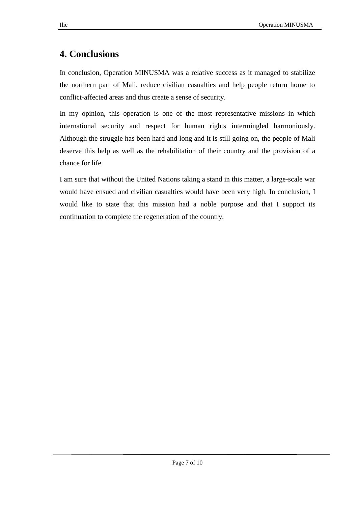# **4. Conclusions**

In conclusion, Operation MINUSMA was a relative success as it managed to stabilize the northern part of Mali, reduce civilian casualties and help people return home to conflict-affected areas and thus create a sense of security.

In my opinion, this operation is one of the most representative missions in which international security and respect for human rights intermingled harmoniously. Although the struggle has been hard and long and it is still going on, the people of Mali deserve this help as well as the rehabilitation of their country and the provision of a chance for life.

I am sure that without the United Nations taking a stand in this matter, a large-scale war would have ensued and civilian casualties would have been very high. In conclusion, I would like to state that this mission had a noble purpose and that I support its continuation to complete the regeneration of the country.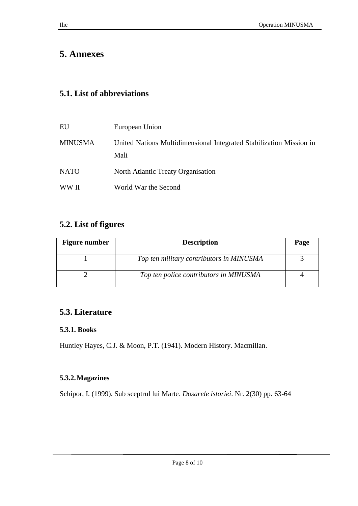# **5. Annexes**

# **5.1. List of abbreviations**

| EU             | European Union                                                              |
|----------------|-----------------------------------------------------------------------------|
| <b>MINUSMA</b> | United Nations Multidimensional Integrated Stabilization Mission in<br>Mali |
| <b>NATO</b>    | North Atlantic Treaty Organisation                                          |
| WW II          | World War the Second                                                        |

### **5.2. List of figures**

| <b>Figure number</b> | <b>Description</b>                       | Page |
|----------------------|------------------------------------------|------|
|                      | Top ten military contributors in MINUSMA |      |
|                      | Top ten police contributors in MINUSMA   |      |

# **5.3. Literature**

### **5.3.1. Books**

Huntley Hayes, C.J. & Moon, P.T. (1941). Modern History. Macmillan.

### **5.3.2.Magazines**

Schipor, I. (1999). Sub sceptrul lui Marte. *Dosarele istoriei*. Nr. 2(30) pp. 63-64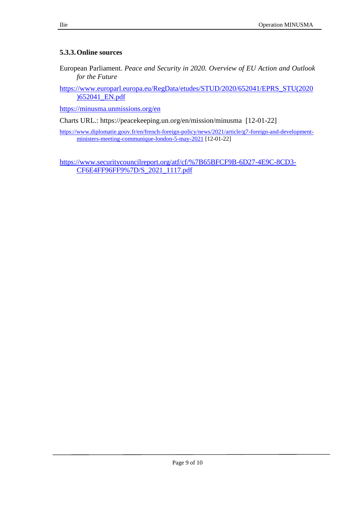#### **5.3.3.Online sources**

European Parliament. *Peace and Security in 2020. Overview of EU Action and Outlook for the Future*

[https://www.europarl.europa.eu/RegData/etudes/STUD/2020/652041/EPRS\\_STU\(2020](https://www.europarl.europa.eu/RegData/etudes/STUD/2020/652041/EPRS_STU(2020)652041_EN.pdf) [\)652041\\_EN.pdf](https://www.europarl.europa.eu/RegData/etudes/STUD/2020/652041/EPRS_STU(2020)652041_EN.pdf)

<https://minusma.unmissions.org/en>

Charts URL.: https://peacekeeping.un.org/en/mission/minusma [12-01-22]

[https://www.diplomatie.gouv.fr/en/french-foreign-policy/news/2021/article/g7-foreign-and-development](https://www.diplomatie.gouv.fr/en/french-foreign-policy/news/2021/article/g7-foreign-and-development-ministers-meeting-communique-london-5-may-2021)[ministers-meeting-communique-london-5-may-2021](https://www.diplomatie.gouv.fr/en/french-foreign-policy/news/2021/article/g7-foreign-and-development-ministers-meeting-communique-london-5-may-2021) [12-01-22]

[https://www.securitycouncilreport.org/atf/cf/%7B65BFCF9B-6D27-4E9C-8CD3-](https://www.securitycouncilreport.org/atf/cf/%7B65BFCF9B-6D27-4E9C-8CD3-CF6E4FF96FF9%7D/S_2021_1117.pdf) [CF6E4FF96FF9%7D/S\\_2021\\_1117.pdf](https://www.securitycouncilreport.org/atf/cf/%7B65BFCF9B-6D27-4E9C-8CD3-CF6E4FF96FF9%7D/S_2021_1117.pdf)